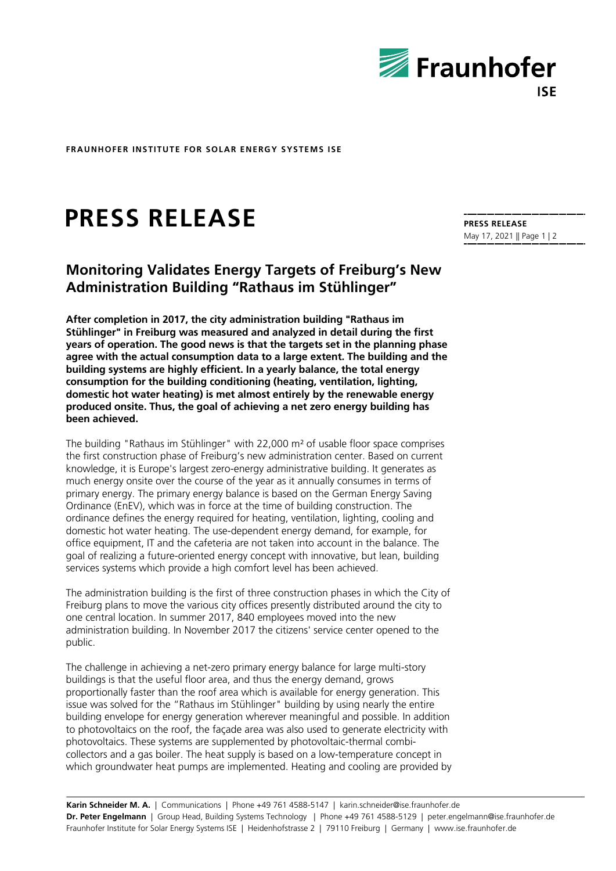

**FRAUNHOFER INSTITUTE FOR SOLAR ENERGY SYSTEMS ISE**

## **PRESS RELEASE**

## **Monitoring Validates Energy Targets of Freiburg's New Administration Building "Rathaus im Stühlinger"**

**After completion in 2017, the city administration building "Rathaus im Stühlinger" in Freiburg was measured and analyzed in detail during the first years of operation. The good news is that the targets set in the planning phase agree with the actual consumption data to a large extent. The building and the building systems are highly efficient. In a yearly balance, the total energy consumption for the building conditioning (heating, ventilation, lighting, domestic hot water heating) is met almost entirely by the renewable energy produced onsite. Thus, the goal of achieving a net zero energy building has been achieved.**

The building "Rathaus im Stühlinger" with 22,000  $m<sup>2</sup>$  of usable floor space comprises the first construction phase of Freiburg's new administration center. Based on current knowledge, it is Europe's largest zero-energy administrative building. It generates as much energy onsite over the course of the year as it annually consumes in terms of primary energy. The primary energy balance is based on the German Energy Saving Ordinance (EnEV), which was in force at the time of building construction. The ordinance defines the energy required for heating, ventilation, lighting, cooling and domestic hot water heating. The use-dependent energy demand, for example, for office equipment, IT and the cafeteria are not taken into account in the balance. The goal of realizing a future-oriented energy concept with innovative, but lean, building services systems which provide a high comfort level has been achieved.

The administration building is the first of three construction phases in which the City of Freiburg plans to move the various city offices presently distributed around the city to one central location. In summer 2017, 840 employees moved into the new administration building. In November 2017 the citizens' service center opened to the public.

The challenge in achieving a net-zero primary energy balance for large multi-story buildings is that the useful floor area, and thus the energy demand, grows proportionally faster than the roof area which is available for energy generation. This issue was solved for the "Rathaus im Stühlinger" building by using nearly the entire building envelope for energy generation wherever meaningful and possible. In addition to photovoltaics on the roof, the façade area was also used to generate electricity with photovoltaics. These systems are supplemented by photovoltaic-thermal combicollectors and a gas boiler. The heat supply is based on a low-temperature concept in which groundwater heat pumps are implemented. Heating and cooling are provided by

**PRESS RELEASE** May 17, 2021 || Page 1 | 2